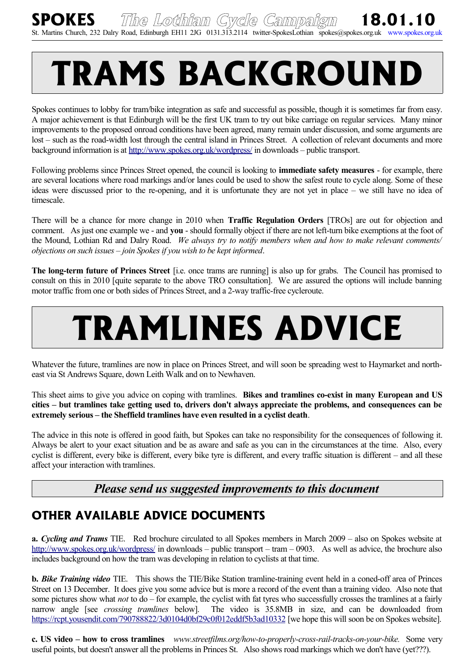## **TRAMS BACKGROUND**

Spokes continues to lobby for tram/bike integration as safe and successful as possible, though it is sometimes far from easy. A major achievement is that Edinburgh will be the first UK tram to try out bike carriage on regular services. Many minor improvements to the proposed onroad conditions have been agreed, many remain under discussion, and some arguments are lost – such as the road-width lost through the central island in Princes Street. A collection of relevant documents and more background information is at<http://www.spokes.org.uk/wordpress/>in downloads – public transport.

Following problems since Princes Street opened, the council is looking to **immediate safety measures** - for example, there are several locations where road markings and/or lanes could be used to show the safest route to cycle along. Some of these ideas were discussed prior to the re-opening, and it is unfortunate they are not yet in place – we still have no idea of timescale.

There will be a chance for more change in 2010 when **Traffic Regulation Orders** [TROs] are out for objection and comment. As just one example we - and **you** - should formally object if there are not left-turn bike exemptions at the foot of the Mound, Lothian Rd and Dalry Road. *We always try to notify members when and how to make relevant comments/ objections on such issues – join Spokes if you wish to be kept informed*.

**The long-term future of Princes Street** [i.e. once trams are running] is also up for grabs. The Council has promised to consult on this in 2010 [quite separate to the above TRO consultation]. We are assured the options will include banning motor traffic from one or both sides of Princes Street, and a 2-way traffic-free cycleroute.

# **TRAMLINES ADVICE**

Whatever the future, tramlines are now in place on Princes Street, and will soon be spreading west to Haymarket and northeast via St Andrews Square, down Leith Walk and on to Newhaven.

This sheet aims to give you advice on coping with tramlines. **Bikes and tramlines co-exist in many European and US cities – but tramlines take getting used to, drivers don't always appreciate the problems, and consequences can be extremely serious – the Sheffield tramlines have even resulted in a cyclist death**.

The advice in this note is offered in good faith, but Spokes can take no responsibility for the consequences of following it. Always be alert to your exact situation and be as aware and safe as you can in the circumstances at the time. Also, every cyclist is different, every bike is different, every bike tyre is different, and every traffic situation is different – and all these affect your interaction with tramlines.

## *Please send us suggested improvements to this document*

## **OTHER AVAILABLE ADVICE DOCUMENTS**

**a.** *Cycling and Trams* TIE. Red brochure circulated to all Spokes members in March 2009 – also on Spokes website at <http://www.spokes.org.uk/wordpress/>in downloads – public transport – tram – 0903. As well as advice, the brochure also includes background on how the tram was developing in relation to cyclists at that time.

**b.** *Bike Training video* TIE. This shows the TIE/Bike Station tramline-training event held in a coned-off area of Princes Street on 13 December. It does give you some advice but is more a record of the event than a training video. Also note that some pictures show what *not* to do – for example, the cyclist with fat tyres who successfully crosses the tramlines at a fairly narrow angle [see *crossing tramlines* below]. The video is 35.8MB in size, and can be downloaded from <https://rcpt.yousendit.com/790788822/3d0104d0bf29c0f012eddf5b3ad10332>[we hope this will soon be on Spokes website].

**c. US video – how to cross tramlines** *www.streetfilms.org/how-to-properly-cross-rail-tracks-on-your-bike.* Some very useful points, but doesn't answer all the problems in Princes St. Also shows road markings which we don't have (yet???).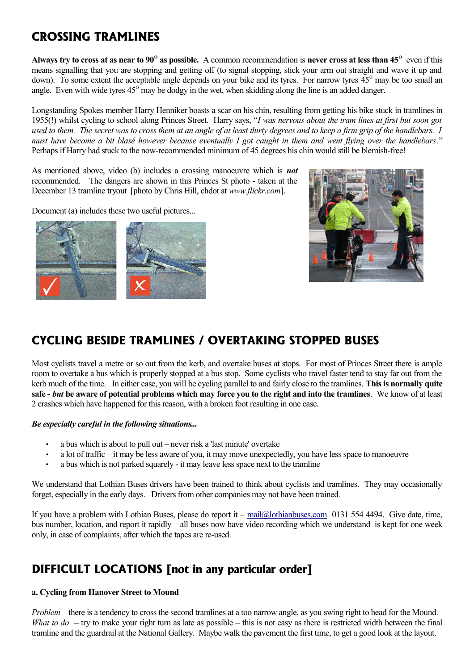## **CROSSING TRAMLINES**

Always try to cross at as near to 90<sup>°</sup> as possible. A common recommendation is never cross at less than 45<sup>°</sup> even if this means signalling that you are stopping and getting off (to signal stopping, stick your arm out straight and wave it up and down). To some extent the acceptable angle depends on your bike and its tyres. For narrow tyres 45<sup>°</sup> may be too small an angle. Even with wide tyres  $45^{\circ}$  may be dodgy in the wet, when skidding along the line is an added danger.

Longstanding Spokes member Harry Henniker boasts a scar on his chin, resulting from getting his bike stuck in tramlines in 1955(!) whilst cycling to school along Princes Street. Harry says, "*I was nervous about the tram lines at first but soon got used to them. The secret was to cross them at an angle of at least thirty degrees and to keep a firm grip of the handlebars. I must have become a bit blasé however because eventually I got caught in them and went flying over the handlebars*." Perhaps if Harry had stuck to the now-recommended minimum of 45 degrees his chin would still be blemish-free!

As mentioned above, video (b) includes a crossing manoeuvre which is *not* recommended. The dangers are shown in this Princes St photo - taken at the December 13 tramline tryout [photo by Chris Hill, chdot at *www.flickr.com*].

Document (a) includes these two useful pictures...





## **CYCLING BESIDE TRAMLINES / OVERTAKING STOPPED BUSES**

Most cyclists travel a metre or so out from the kerb, and overtake buses at stops. For most of Princes Street there is ample room to overtake a bus which is properly stopped at a bus stop. Some cyclists who travel faster tend to stay far out from the kerb much of the time. In either case, you will be cycling parallel to and fairly close to the tramlines. **This is normally quite safe -** *but* **be aware of potential problems which may force you to the right and into the tramlines**. We know of at least 2 crashes which have happened for this reason, with a broken foot resulting in one case.

## *Be especially careful in the following situations...*

- a bus which is about to pull out never risk a 'last minute' overtake
- a lot of traffic it may be less aware of you, it may move unexpectedly, you have less space to manoeuvre
- a bus which is not parked squarely it may leave less space next to the tramline

We understand that Lothian Buses drivers have been trained to think about cyclists and tramlines. They may occasionally forget, especially in the early days. Drivers from other companies may not have been trained.

If you have a problem with Lothian Buses, please do report it – [mail@lothianbuses.com](mailto:mail@lothianbuses.com) 0131 554 4494. Give date, time, bus number, location, and report it rapidly – all buses now have video recording which we understand is kept for one week only, in case of complaints, after which the tapes are re-used.

## **DIFFICULT LOCATIONS [not in any particular order]**

## **a. Cycling from Hanover Street to Mound**

*Problem* – there is a tendency to cross the second tramlines at a too narrow angle, as you swing right to head for the Mound. *What to do* – try to make your right turn as late as possible – this is not easy as there is restricted width between the final tramline and the guardrail at the National Gallery. Maybe walk the pavement the first time, to get a good look at the layout.